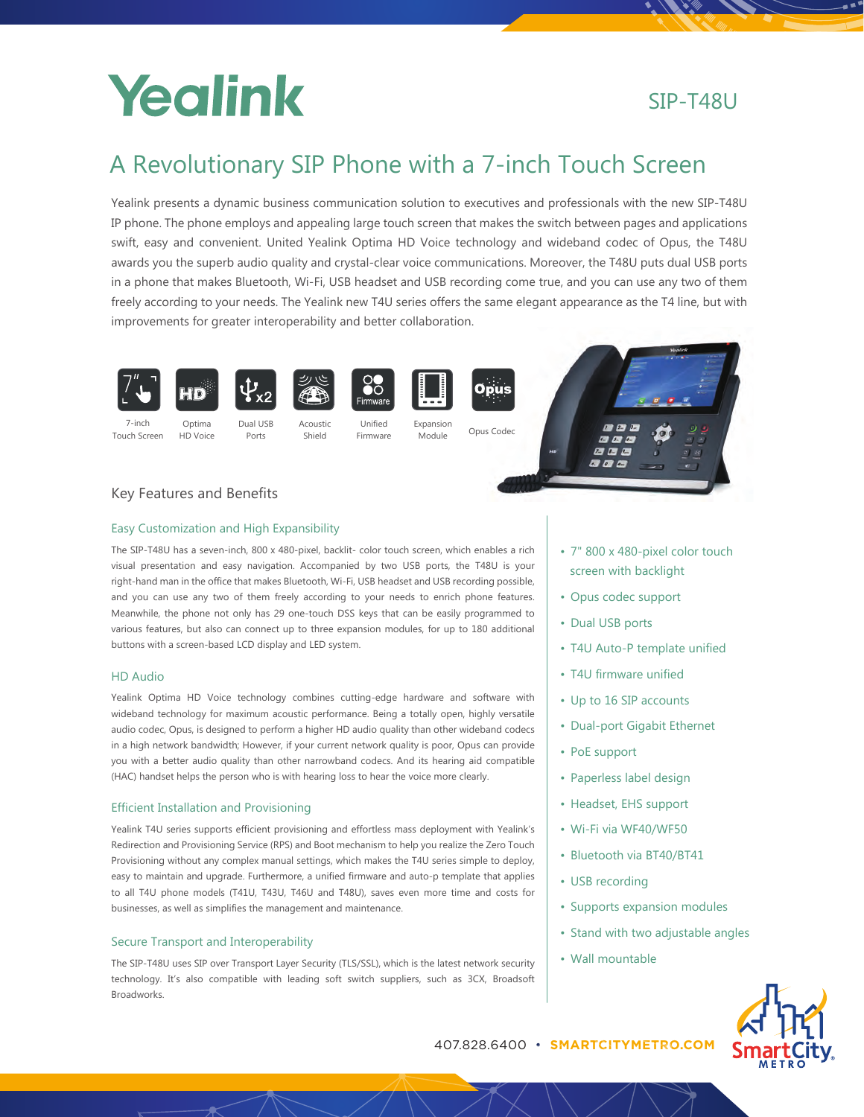# Yealink

# SIP-T48U

# A Revolutionary SIP Phone with a 7-inch Touch Screen

Yealink presents a dynamic business communication solution to executives and professionals with the new SIP-T48U IP phone. The phone employs and appealing large touch screen that makes the switch between pages and applications swift, easy and convenient. United Yealink Optima HD Voice technology and wideband codec of Opus, the T48U awards you the superb audio quality and crystal-clear voice communications. Moreover, the T48U puts dual USB ports in a phone that makes Bluetooth, Wi-Fi, USB headset and USB recording come true, and you can use any two of them freely according to your needs. The Yealink new T4U series offers the same elegant appearance as the T4 line, but with improvements for greater interoperability and better collaboration.

Module



7-inch Touch Screen







Firmware







# Key Features and Benefits

Optima HD Voice

# Easy Customization and High Expansibility

The SIP-T48U has a seven-inch, 800 x 480-pixel, backlit- color touch screen, which enables a rich visual presentation and easy navigation. Accompanied by two USB ports, the T48U is your right-hand man in the office that makes Bluetooth, Wi-Fi, USB headset and USB recording possible, and you can use any two of them freely according to your needs to enrich phone features. Meanwhile, the phone not only has 29 one-touch DSS keys that can be easily programmed to various features, but also can connect up to three expansion modules, for up to 180 additional buttons with a screen-based LCD display and LED system.

Shield

## HD Audio

Yealink Optima HD Voice technology combines cutting-edge hardware and software with wideband technology for maximum acoustic performance. Being a totally open, highly versatile audio codec, Opus, is designed to perform a higher HD audio quality than other wideband codecs in a high network bandwidth; However, if your current network quality is poor, Opus can provide you with a better audio quality than other narrowband codecs. And its hearing aid compatible (HAC) handset helps the person who is with hearing loss to hear the voice more clearly.

## Efficient Installation and Provisioning

Yealink T4U series supports efficient provisioning and effortless mass deployment with Yealink's Redirection and Provisioning Service (RPS) and Boot mechanism to help you realize the Zero Touch Provisioning without any complex manual settings, which makes the T4U series simple to deploy, easy to maintain and upgrade. Furthermore, a unified firmware and auto-p template that applies to all T4U phone models (T41U, T43U, T46U and T48U), saves even more time and costs for businesses, as well as simplifies the management and maintenance.

## Secure Transport and Interoperability

The SIP-T48U uses SIP over Transport Layer Security (TLS/SSL), which is the latest network security technology. It's also compatible with leading soft switch suppliers, such as 3CX, Broadsoft Broadworks.

- 7" 800 x 480-pixel color touch screen with backlight
- Opus codec support
- Dual USB ports
- T4U Auto-P template unified
- T4U firmware unified
- Up to 16 SIP accounts
- Dual-port Gigabit Ethernet
- PoE support
- Paperless label design
- Headset, EHS support
- Wi-Fi via WF40/WF50
- Bluetooth via BT40/BT41
- USB recording
- Supports expansion modules
- Stand with two adjustable angles
- Wall mountable



407.828.6400 • **SMARTCITYMETRO.COM**